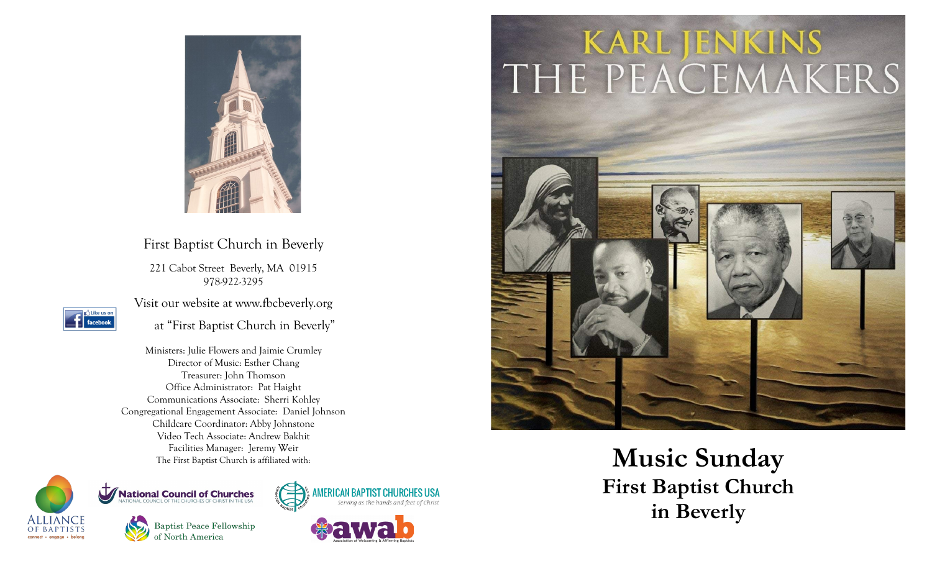

# First Baptist Church in Beverly

221 Cabot Street Beverly, MA 01915 978 -922 -3295



Visit our website at www.fbcbeverly.org

at "First Baptist Church in Beverly"

Ministers: Julie Flowers and Jaimie Crumley Director of Music: Esther Chang Treasurer: John Thomson Office Administrator: Pat Haight Communications Associate: Sherri Kohley Congregational Engagement Associate: Daniel Johnson Childcare Coordinator: Abby Johnstone Video Tech Associate: Andrew Bakhit Facilities Manager: Jeremy Weir



**Baptist Peace Fellowship** of North America

**Mational Council of Churches**<br>NATIONAL COUNCIL OF THE CHURCHES OF CHRIST IN THE USA





# KARL JENKINS<br>THE PEACEMAKERS



The First Baptist Church is affiliated with:<br>The First Baptist Church is affiliated with:<br>**Music Sunday First Baptist Church in Beverly**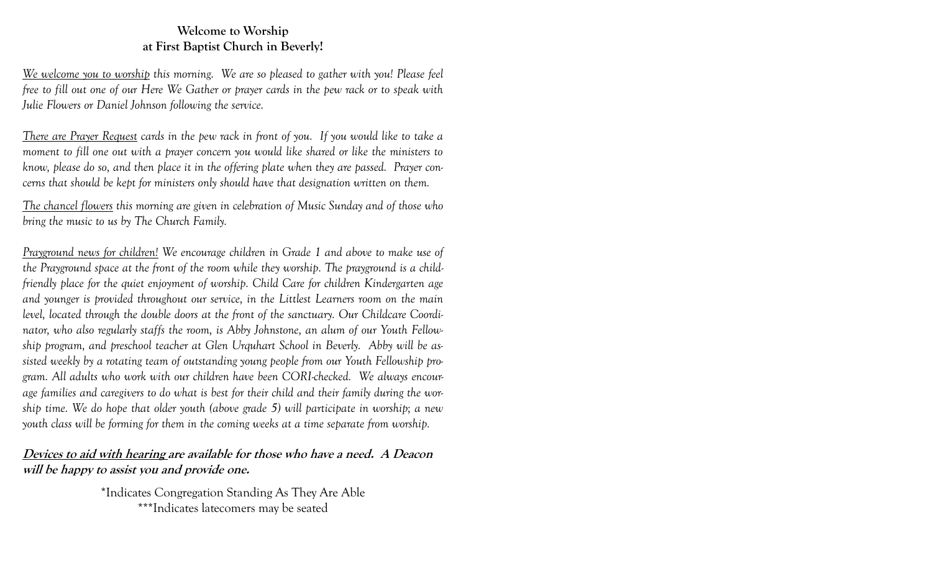### **Welcome to Worship at First Baptist Church in Beverly!**

*We welcome you to worship this morning. We are so pleased to gather with you! Please feel free to fill out one of our Here We Gather or prayer cards in the pew rack or to speak with Julie Flowers or Daniel Johnson following the service.*

*There are Prayer Request cards in the pew rack in front of you. If you would like to take a moment to fill one out with a prayer concern you would like shared or like the ministers to know, please do so, and then place it in the offering plate when they are passed. Prayer concerns that should be kept for ministers only should have that designation written on them.*

*The chancel flowers this morning are given in celebration of Music Sunday and of those who bring the music to us by The Church Family.*

*Prayground news for children! We encourage children in Grade 1 and above to make use of the Prayground space at the front of the room while they worship. The prayground is a childfriendly place for the quiet enjoyment of worship. Child Care for children Kindergarten age and younger is provided throughout our service, in the Littlest Learners room on the main level, located through the double doors at the front of the sanctuary. Our Childcare Coordinator, who also regularly staffs the room, is Abby Johnstone, an alum of our Youth Fellowship program, and preschool teacher at Glen Urquhart School in Beverly. Abby will be assisted weekly by a rotating team of outstanding young people from our Youth Fellowship program. All adults who work with our children have been CORI-checked. We always encourage families and caregivers to do what is best for their child and their family during the worship time. We do hope that older youth (above grade 5) will participate in worship; a new youth class will be forming for them in the coming weeks at a time separate from worship.*

## **Devices to aid with hearing are available for those who have a need. A Deacon will be happy to assist you and provide one.**

\*Indicates Congregation Standing As They Are Able \*\*\*Indicates latecomers may be seated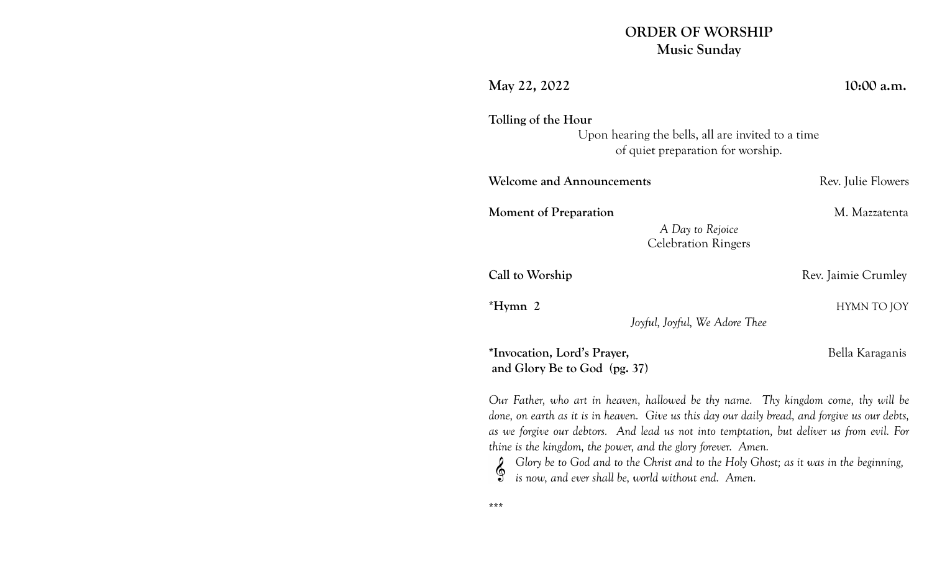# **ORDER OF WORSHIP Music Sunday**

| May 22, 2022                                                                                                                                                                                                                                                                                                                                                                                                                                                                                      | 10:00 a.m.          |
|---------------------------------------------------------------------------------------------------------------------------------------------------------------------------------------------------------------------------------------------------------------------------------------------------------------------------------------------------------------------------------------------------------------------------------------------------------------------------------------------------|---------------------|
| Tolling of the Hour<br>Upon hearing the bells, all are invited to a time<br>of quiet preparation for worship.                                                                                                                                                                                                                                                                                                                                                                                     |                     |
| <b>Welcome and Announcements</b>                                                                                                                                                                                                                                                                                                                                                                                                                                                                  | Rev. Julie Flowers  |
| M. Mazzatenta<br><b>Moment of Preparation</b><br>A Day to Rejoice<br><b>Celebration Ringers</b>                                                                                                                                                                                                                                                                                                                                                                                                   |                     |
| Call to Worship                                                                                                                                                                                                                                                                                                                                                                                                                                                                                   | Rev. Jaimie Crumley |
| $*Hymn$ 2<br>Joyful, Joyful, We Adore Thee                                                                                                                                                                                                                                                                                                                                                                                                                                                        | HYMN TO JOY         |
| *Invocation, Lord's Prayer,<br>and Glory Be to God (pg. 37)                                                                                                                                                                                                                                                                                                                                                                                                                                       | Bella Karaganis     |
| Our Father, who art in heaven, hallowed be thy name. Thy kingdom come, thy will be<br>done, on earth as it is in heaven. Give us this day our daily bread, and forgive us our debts,<br>as we forgive our debtors. And lead us not into temptation, but deliver us from evil. For<br>thine is the kingdom, the power, and the glory forever. Amen.<br>Glory be to God and to the Christ and to the Holy Ghost; as it was in the beginning,<br>is now, and ever shall be, world without end. Amen. |                     |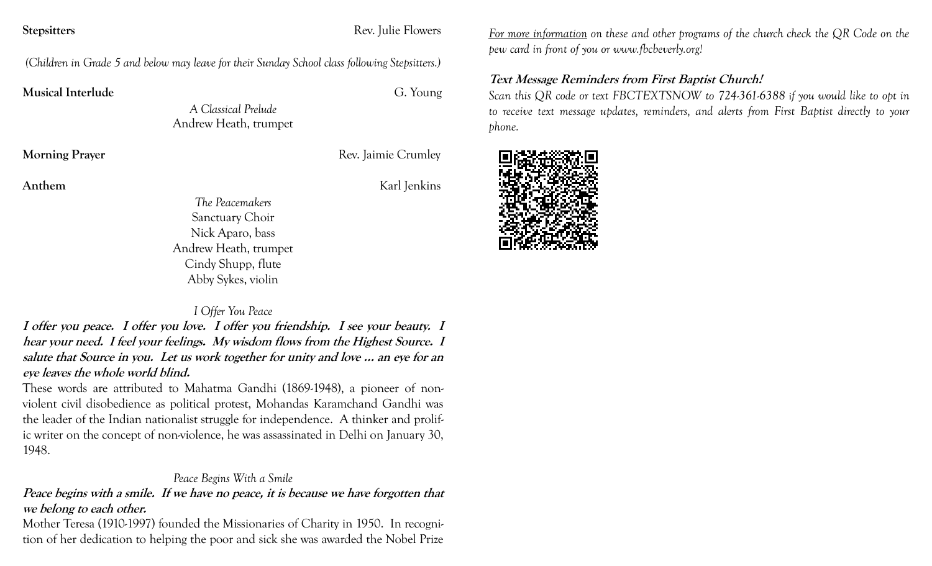**Stepsitters** Rev. Julie Flowers

*(Children in Grade 5 and below may leave for their Sunday School class following Stepsitters.)*

**Musical Interlude**G. Young

*A Classical Prelude* Andrew Heath, trumpet

**Morning Prayer Rev.** Jaimie Crumley

**Anthem**Karl Jenkins

*The Peacemakers* Sanctuary Choir Nick Aparo, bass Andrew Heath, trumpet Cindy Shupp, flute Abby Sykes, violin

#### *I Offer You Peace*

**I offer you peace. I offer you love. I offer you friendship. I see your beauty. I hear your need. I feel your feelings. My wisdom flows from the Highest Source. I salute that Source in you. Let us work together for unity and love … an eye for an eye leaves the whole world blind.**

These words are attributed to Mahatma Gandhi (1869-1948), a pioneer of nonviolent civil disobedience as political protest, Mohandas Karamchand Gandhi was the leader of the Indian nationalist struggle for independence. A thinker and prolific writer on the concept of non-violence, he was assassinated in Delhi on January 30, 1948.

### *Peace Begins With a Smile*

**Peace begins with a smile. If we have no peace, it is because we have forgotten that we belong to each other.**

Mother Teresa (1910-1997) founded the Missionaries of Charity in 1950. In recognition of her dedication to helping the poor and sick she was awarded the Nobel Prize *For more information on these and other programs of the church check the QR Code on the pew card in front of you or www.fbcbeverly.org!*

# **Text Message Reminders from First Baptist Church!**

*Scan this QR code or text FBCTEXTSNOW to 724-361-6388* i*f you would like to opt in to receive text message updates, reminders, and alerts from First Baptist directly to your phone.*

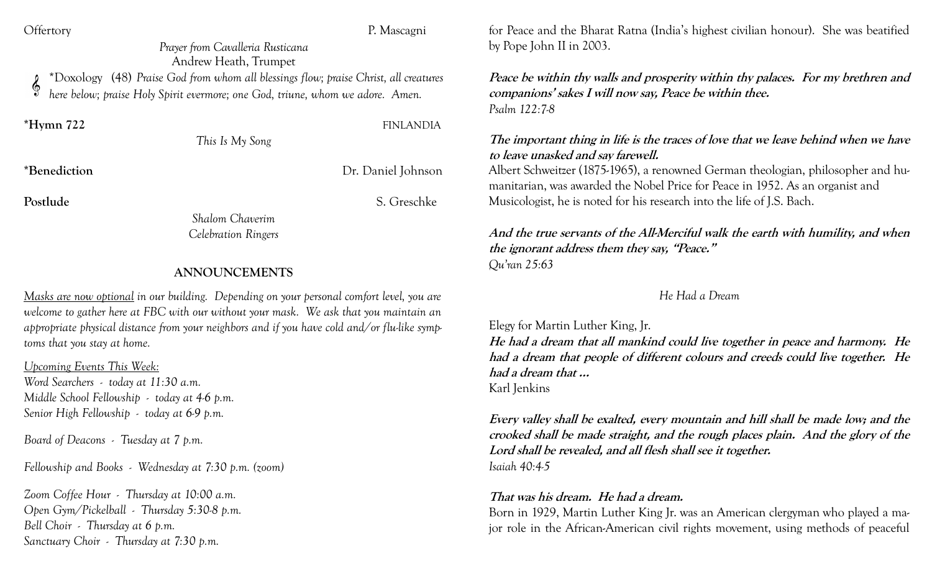Offertory P. Mascagni

*Prayer from Cavalleria Rusticana* Andrew Heath, Trumpet \*Doxology (48) *Praise God from whom all blessings flow; praise Christ, all creatures here below; praise Holy Spirit evermore; one God, triune, whom we adore. Amen.*

**\*Hymn 722** FINLANDIA

## *This Is My Song*

**\*Benediction** Dr. Daniel Johnson

Postlude S. Greschke

*Shalom Chaverim Celebration Ringers*

#### **ANNOUNCEMENTS**

*Masks are now optional in our building. Depending on your personal comfort level, you are welcome to gather here at FBC with our without your mask. We ask that you maintain an appropriate physical distance from your neighbors and if you have cold and/or flu-like symptoms that you stay at home.* 

*Upcoming Events This Week:* 

*Word Searchers - today at 11:30 a.m. Middle School Fellowship - today at 4-6 p.m. Senior High Fellowship - today at 6-9 p.m.*

*Board of Deacons - Tuesday at 7 p.m.*

*Fellowship and Books - Wednesday at 7:30 p.m. (zoom)*

*Zoom Coffee Hour - Thursday at 10:00 a.m. Open Gym/Pickelball - Thursday 5:30-8 p.m. Bell Choir - Thursday at 6 p.m. Sanctuary Choir - Thursday at 7:30 p.m.* 

for Peace and the Bharat Ratna (India's highest civilian honour). She was beatified by Pope John II in 2003.

**Peace be within thy walls and prosperity within thy palaces. For my brethren and companions' sakes I will now say, Peace be within thee.** *Psalm 122:7-8*

**The important thing in life is the traces of love that we leave behind when we have to leave unasked and say farewell.**

Albert Schweitzer (1875-1965), a renowned German theologian, philosopher and humanitarian, was awarded the Nobel Price for Peace in 1952. As an organist and Musicologist, he is noted for his research into the life of J.S. Bach.

**And the true servants of the All-Merciful walk the earth with humility, and when the ignorant address them they say, "Peace."** *Qu'ran 25:63*

#### *He Had a Dream*

Elegy for Martin Luther King, Jr. **He had a dream that all mankind could live together in peace and harmony. He had a dream that people of different colours and creeds could live together. He had a dream that …**  Karl Jenkins

**Every valley shall be exalted, every mountain and hill shall be made low; and the crooked shall be made straight, and the rough places plain. And the glory of the Lord shall be revealed, and all flesh shall see it together.** *Isaiah 40:4-5*

#### **That was his dream. He had a dream.**

Born in 1929, Martin Luther King Jr. was an American clergyman who played a major role in the African-American civil rights movement, using methods of peaceful